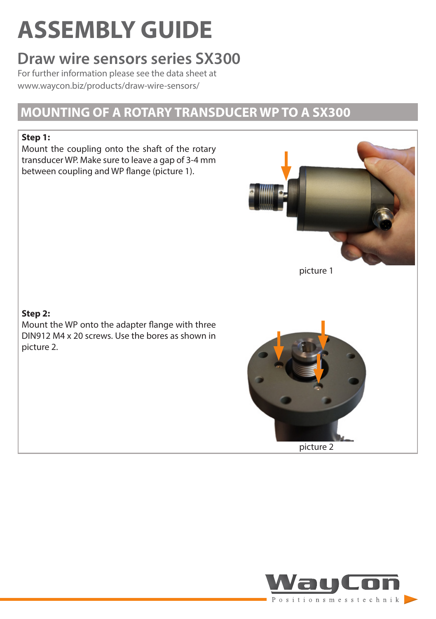# **ASSEMBLY GUIDE**

# **Draw wire sensors series SX300**

For further information please see the data sheet at [www.waycon.biz/products/draw-wire-sensors/](http://www.waycon.biz/products/draw-wire-sensors/)

### **MOUNTING OF A ROTARY TRANSDUCER WP TO A SX300**

#### **Step 1:**

Mount the coupling onto the shaft of the rotary transducer WP. Make sure to leave a gap of 3-4 mm between coupling and WP flange (picture 1).



picture 1

#### **Step 2:**

Mount the WP onto the adapter flange with three DIN912 M4 x 20 screws. Use the bores as shown in picture 2.



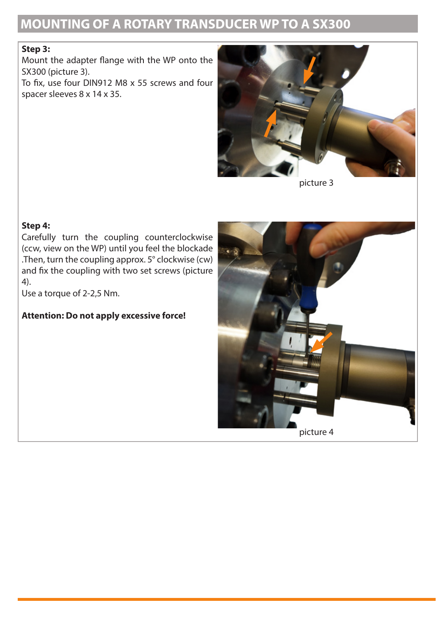## **MOUNTING OF A ROTARY TRANSDUCER WP TO A SX300**

#### **Step 3:**

Mount the adapter flange with the WP onto the SX300 (picture 3).

To fix, use four DIN912 M8 x 55 screws and four spacer sleeves 8 x 14 x 35.



picture 3

#### **Step 4:**

Carefully turn the coupling counterclockwise (ccw, view on the WP) until you feel the blockade .Then, turn the coupling approx. 5° clockwise (cw) and fix the coupling with two set screws (picture 4).

Use a torque of 2-2,5 Nm.

#### **Attention: Do not apply excessive force!**

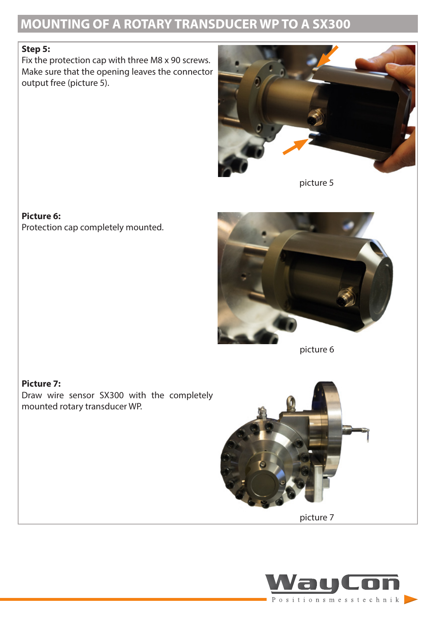# **MOUNTING OF A ROTARY TRANSDUCER WP TO A SX300**

#### **Step 5:**

Fix the protection cap with three M8 x 90 screws. Make sure that the opening leaves the connector output free (picture 5).



picture 5

#### **Picture 6:**

Protection cap completely mounted.



picture 6

#### **Picture 7:**

Draw wire sensor SX300 with the completely mounted rotary transducer WP.



picture 7